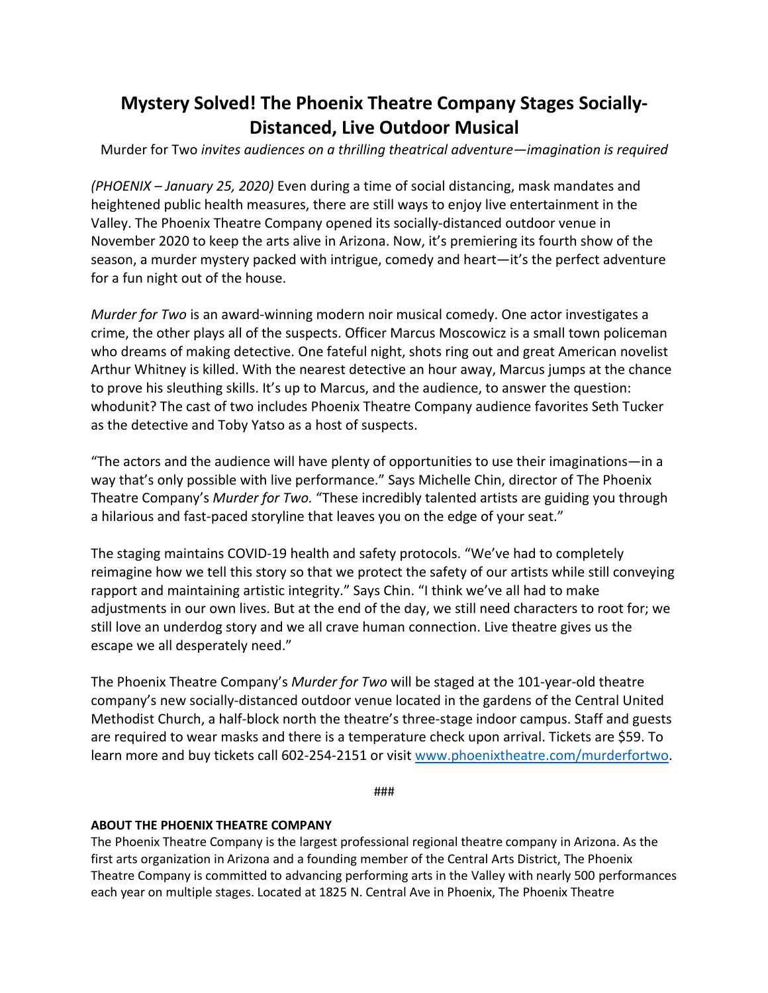## **Mystery Solved! The Phoenix Theatre Company Stages Socially-Distanced, Live Outdoor Musical**

Murder for Two *invites audiences on a thrilling theatrical adventure—imagination is required*

*(PHOENIX – January 25, 2020)* Even during a time of social distancing, mask mandates and heightened public health measures, there are still ways to enjoy live entertainment in the Valley. The Phoenix Theatre Company opened its socially-distanced outdoor venue in November 2020 to keep the arts alive in Arizona. Now, it's premiering its fourth show of the season, a murder mystery packed with intrigue, comedy and heart—it's the perfect adventure for a fun night out of the house.

*Murder for Two* is an award-winning modern noir musical comedy. One actor investigates a crime, the other plays all of the suspects. Officer Marcus Moscowicz is a small town policeman who dreams of making detective. One fateful night, shots ring out and great American novelist Arthur Whitney is killed. With the nearest detective an hour away, Marcus jumps at the chance to prove his sleuthing skills. It's up to Marcus, and the audience, to answer the question: whodunit? The cast of two includes Phoenix Theatre Company audience favorites Seth Tucker as the detective and Toby Yatso as a host of suspects.

"The actors and the audience will have plenty of opportunities to use their imaginations—in a way that's only possible with live performance." Says Michelle Chin, director of The Phoenix Theatre Company's *Murder for Two.* "These incredibly talented artists are guiding you through a hilarious and fast-paced storyline that leaves you on the edge of your seat."

The staging maintains COVID-19 health and safety protocols. "We've had to completely reimagine how we tell this story so that we protect the safety of our artists while still conveying rapport and maintaining artistic integrity." Says Chin. "I think we've all had to make adjustments in our own lives. But at the end of the day, we still need characters to root for; we still love an underdog story and we all crave human connection. Live theatre gives us the escape we all desperately need."

The Phoenix Theatre Company's *Murder for Two* will be staged at the 101-year-old theatre company's new socially-distanced outdoor venue located in the gardens of the Central United Methodist Church, a half-block north the theatre's three-stage indoor campus. Staff and guests are required to wear masks and there is a temperature check upon arrival. Tickets are \$59. To learn more and buy tickets call 602-254-2151 or visit www.phoenixtheatre.com/murderfortwo.

###

## **ABOUT THE PHOENIX THEATRE COMPANY**

The Phoenix Theatre Company is the largest professional regional theatre company in Arizona. As the first arts organization in Arizona and a founding member of the Central Arts District, The Phoenix Theatre Company is committed to advancing performing arts in the Valley with nearly 500 performances each year on multiple stages. Located at 1825 N. Central Ave in Phoenix, The Phoenix Theatre